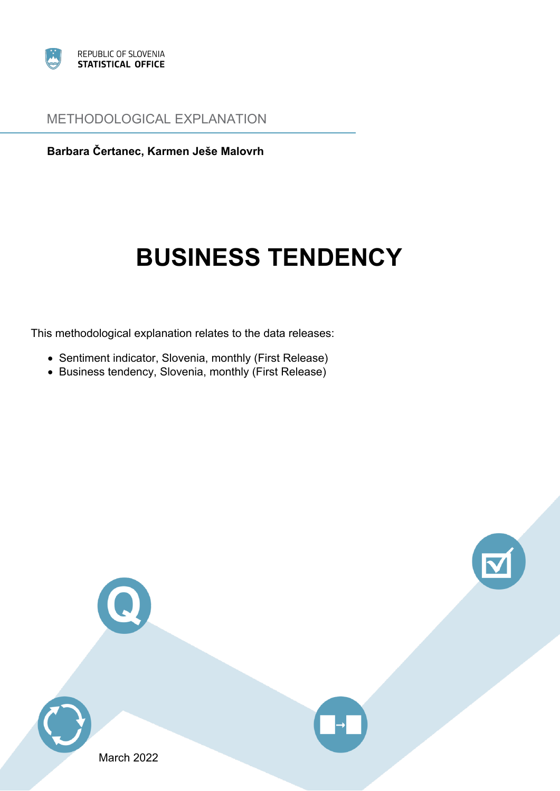

## METHODOLOGICAL EXPLANATION

**Barbara Čertanec, Karmen Ješ<sup>e</sup> Malovrh**

# **BUSINESS TENDENCY**

This methodological explanation relates to the data releases:

- Sentiment indicator, Slovenia, monthly (First Release)
- Business tendency, Slovenia, monthly (First Release)

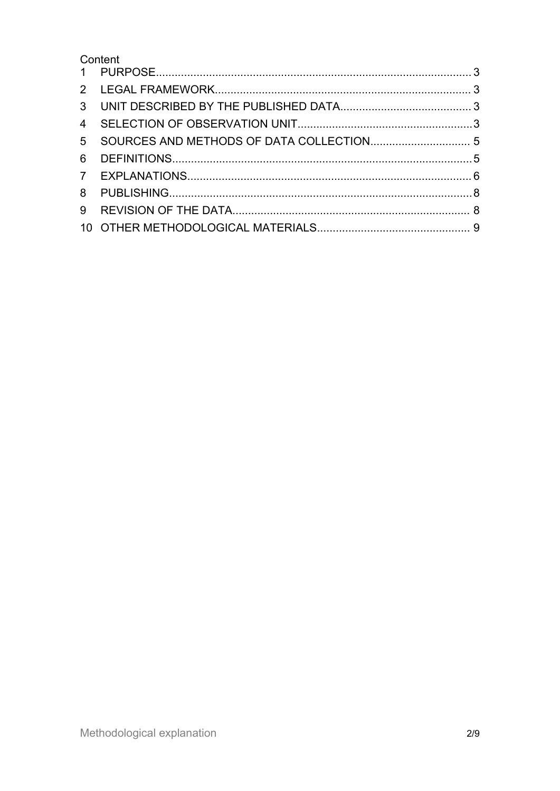Content

| $\overline{4}$ |  |
|----------------|--|
|                |  |
|                |  |
| 6              |  |
|                |  |
| 8              |  |
| 9              |  |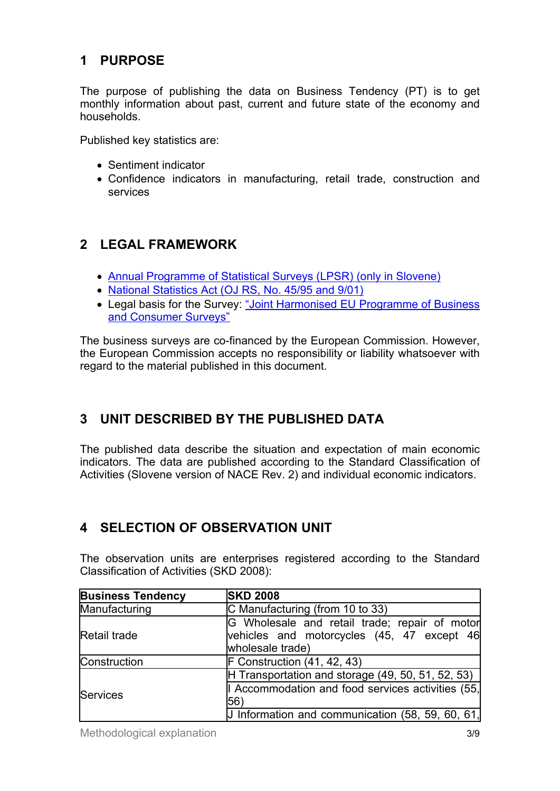# <span id="page-2-0"></span>**1 PURPOSE**

The purpose of publishing the data on Business Tendency (PT) is to get monthly information about past, current and future state of the economy and households.

Published key statistics are:

- Sentiment indicator
- Confidence indicators in manufacturing, retail trade, construction and services

# **2 LEGAL FRAMEWORK**

- Annual [Programme](http://www.stat.si/statweb/en/LegislationAndDocuments/StatSurveys) of Statistical Surveys (LPSR) (only in Slovene)
- <u>National [Statistics](http://www.stat.si/statweb/en/LegislationAndDocuments/ApplicRegul) Act (OJ RS, No. 45/95 and 9/01)</u>
- Legal basis for the Survey: "Joint Harmonised EU [Programme](http://eurlex.europa.eu/LexUriServ/LexUriServ.do?uri=CELEX:52006XC1012(01):EN:NOT) of Business and [Consumer](http://eurlex.europa.eu/LexUriServ/LexUriServ.do?uri=CELEX:52006XC1012(01):EN:NOT) Surveys"

The business surveys are co-financed by the European Commission. However, the European Commission accepts no responsibility or liability whatsoever with regard to the material published in this document.

# **3 UNIT DESCRIBED BY THE PUBLISHED DATA**

The published data describe the situation and expectation of main economic indicators. The data are published according to the Standard Classification of Activities (Slovene version of NACE Rev. 2) and individual economic indicators.

# **4 SELECTION OF OBSERVATION UNIT**

The observation units are enterprises registered according to the Standard Classification of Activities (SKD 2008):

| <b>Business Tendency</b> | <b>SKD 2008</b>                                                                                                 |
|--------------------------|-----------------------------------------------------------------------------------------------------------------|
| Manufacturing            | C Manufacturing (from 10 to 33)                                                                                 |
| Retail trade             | G Wholesale and retail trade; repair of motor<br>vehicles and motorcycles (45, 47 except 46<br>wholesale trade) |
| Construction             | $F$ Construction $(41, 42, 43)$                                                                                 |
|                          | H Transportation and storage $(49, 50, 51, 52, 53)$                                                             |
| Services                 | Accommodation and food services activities (55,<br>56                                                           |
|                          | J Information and communication $(58, 59, 60, 61)$                                                              |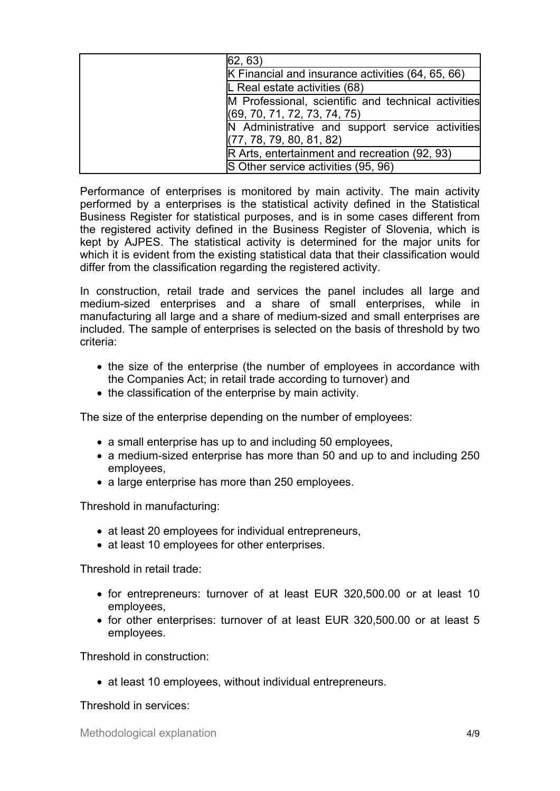| 62, 63)                                             |
|-----------------------------------------------------|
| K Financial and insurance activities (64, 65, 66)   |
| L Real estate activities (68)                       |
| M Professional, scientific and technical activities |
| (69, 70, 71, 72, 73, 74, 75)                        |
| N Administrative and support service activities     |
| (77, 78, 79, 80, 81, 82)                            |
| R Arts, entertainment and recreation (92, 93)       |
| S Other service activities (95, 96)                 |

Performance of enterprises is monitored by main activity. The main activity performed by <sup>a</sup> enterprises is the statistical activity defined in the Statistical Business Register for statistical purposes, and is in some cases different from the registered activity defined in the Business Register of Slovenia, which is kept by AJPES. The statistical activity is determined for the major units for which it is evident from the existing statistical data that their classification would differ from the classification regarding the registered activity.

In construction, retail trade and services the panel includes all large and medium-sized enterprises and <sup>a</sup> share of small enterprises, while in manufacturing all large and <sup>a</sup> share of medium-sized and small enterprises are included. The sample of enterprises is selected on the basis of threshold by two criteria:

- the size of the enterprise (the number of employees in accordance with the Companies Act; in retail trade according to turnover) and
- the classification of the enterprise by main activity.

The size of the enterprise depending on the number of employees:

- <sup>a</sup> small enterprise has up to and including 50 employees,
- <sup>a</sup> medium-sized enterprise has more than 50 and up to and including 250 employees,
- <sup>a</sup> large enterprise has more than 250 employees.

Threshold in manufacturing:

- at least 20 employees for individual entrepreneurs,
- at least 10 employees for other enterprises.

Threshold in retail trade:

- for entrepreneurs: turnover of at least EUR 320,500.00 or at least 10 employees,
- for other enterprises: turnover of at least EUR 320,500.00 or at least 5 employees.

Threshold in construction:

at least 10 employees, without individual entrepreneurs.

Threshold in services: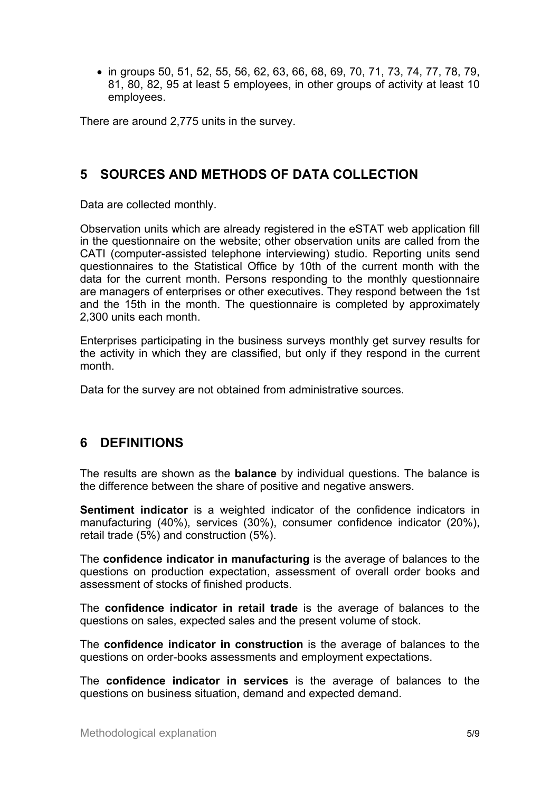<span id="page-4-0"></span>● in groups 50, 51, 52, 55, 56, 62, 63, 66, 68, 69, 70, 71, 73, 74, 77, 78, 79, 81, 80, 82, 95 at least 5 employees, in other groups of activity at least 10 employees.

There are around 2,775 units in the survey.

## **5 SOURCES AND METHODS OF DATA COLLECTION**

Data are collected monthly.

Observation units which are already registered in the eSTAT web application fill in the questionnaire on the website; other observation units are called from the CATI (computer-assisted telephone interviewing) studio. Reporting units send questionnaires to the Statistical Office by 10th of the current month with the data for the current month. Persons responding to the monthly questionnaire are managers of enterprises or other executives. They respond between the 1st and the 15th in the month. The questionnaire is completed by approximately 2,300 units each month.

Enterprises participating in the business surveys monthly get survey results for the activity in which they are classified, but only if they respond in the current month.

Data for the survey are not obtained from administrative sources.

## **6 DEFINITIONS**

The results are shown as the **balance** by individual questions. The balance is the difference between the share of positive and negative answers.

**Sentiment indicator** is <sup>a</sup> weighted indicator of the confidence indicators in manufacturing (40%), services (30%), consumer confidence indicator (20%), retail trade (5%) and construction (5%).

The **confidence indicator in manufacturing** is the average of balances to the questions on production expectation, assessment of overall order books and assessment of stocks of finished products.

The **confidence indicator in retail trade** is the average of balances to the questions on sales, expected sales and the present volume of stock.

The **confidence indicator in construction** is the average of balances to the questions on order-books assessments and employment expectations.

The **confidence indicator in services** is the average of balances to the questions on business situation, demand and expected demand.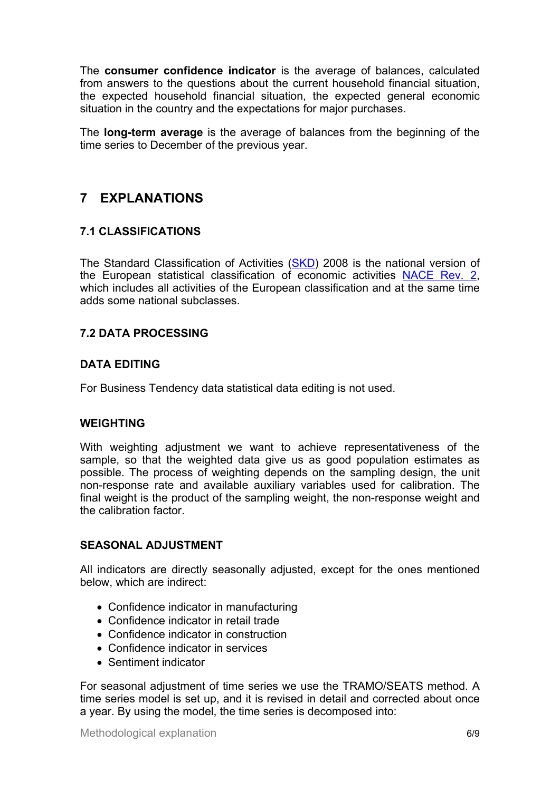<span id="page-5-0"></span>The **consumer confidence indicator** is the average of balances, calculated from answers to the questions about the current household financial situation, the expected household financial situation, the expected general economic situation in the country and the expectations for major purchases.

The **long-term average** is the average of balances from the beginning of the time series to December of the previous year.

# **7 EXPLANATIONS**

## **7.1 CLASSIFICATIONS**

The Standard Classification of Activities ([SKD](http://www.stat.si/doc/pub/skd.pdf)) 2008 is the national version of the European statistical classification of economic activities [NACE](http://ec.europa.eu/eurostat/documents/3859598/5902521/KS-RA-07-015-EN.PDF/dd5443f5-b886-40e4-920d-9df03590ff91?version=1.0) Rev. 2, which includes all activities of the European classification and at the same time adds some national subclasses.

## **7.2 DATA PROCESSING**

## **DATA EDITING**

For Business Tendency data statistical data editing is not used.

#### **WEIGHTING**

With weighting adjustment we want to achieve representativeness of the sample, so that the weighted data give us as good population estimates as possible. The process of weighting depends on the sampling design, the unit non-response rate and available auxiliary variables used for calibration. The final weight is the product of the sampling weight, the non-response weight and the calibration factor.

#### **SEASONAL ADJUSTMENT**

All indicators are directly seasonally adjusted, except for the ones mentioned below, which are indirect:

- Confidence indicator in manufacturing
- Confidence indicator in retail trade
- Confidence indicator in construction
- Confidence indicator in services
- Sentiment indicator

For seasonal adjustment of time series we use the TRAMO/SEATS method. A time series model is set up, and it is revised in detail and corrected about once <sup>a</sup> year. By using the model, the time series is decomposed into: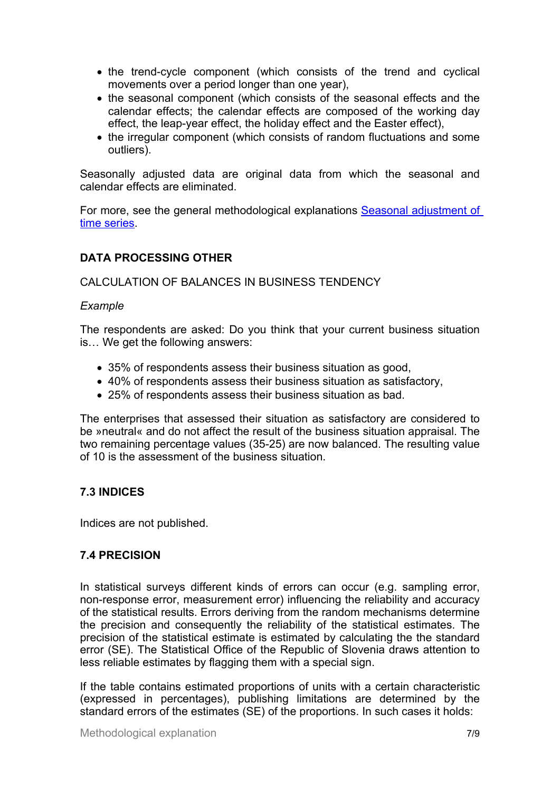- the trend-cycle component (which consists of the trend and cyclical movements over <sup>a</sup> period longer than one year),
- the seasonal component (which consists of the seasonal effects and the calendar effects; the calendar effects are composed of the working day effect, the leap-year effect, the holiday effect and the Easter effect),
- the irregular component (which consists of random fluctuations and some outliers).

Seasonally adjusted data are original data from which the seasonal and calendar effects are eliminated.

For more, see the general methodological explanations Seasonal [adjustment](https://www.stat.si/dokument/5301/SeasonalAdjustmentOfTimeSeries_MEgeneral.pdf) of time [series](https://www.stat.si/dokument/5301/SeasonalAdjustmentOfTimeSeries_MEgeneral.pdf).

## **DATA PROCESSING OTHER**

CALCULATION OF BALANCES IN BUSINESS TENDENCY

#### *Example*

The respondents are asked: Do you think that your current business situation is… We get the following answers:

- 35% of respondents assess their business situation as good,
- 40% of respondents assess their business situation as satisfactory,
- 25% of respondents assess their business situation as bad.

The enterprises that assessed their situation as satisfactory are considered to be »neutral« and do not affect the result of the business situation appraisal. The two remaining percentage values (35-25) are now balanced. The resulting value of 10 is the assessment of the business situation.

## **7.3 INDICES**

Indices are not published.

## **7.4 PRECISION**

In statistical surveys different kinds of errors can occur (e.g. sampling error, non-response error, measurement error) influencing the reliability and accuracy of the statistical results. Errors deriving from the random mechanisms determine the precision and consequently the reliability of the statistical estimates. The precision of the statistical estimate is estimated by calculating the the standard error (SE). The Statistical Office of the Republic of Slovenia draws attention to less reliable estimates by flagging them with <sup>a</sup> special sign.

If the table contains estimated proportions of units with <sup>a</sup> certain characteristic (expressed in percentages), publishing limitations are determined by the standard errors of the estimates (SE) of the proportions. In such cases it holds: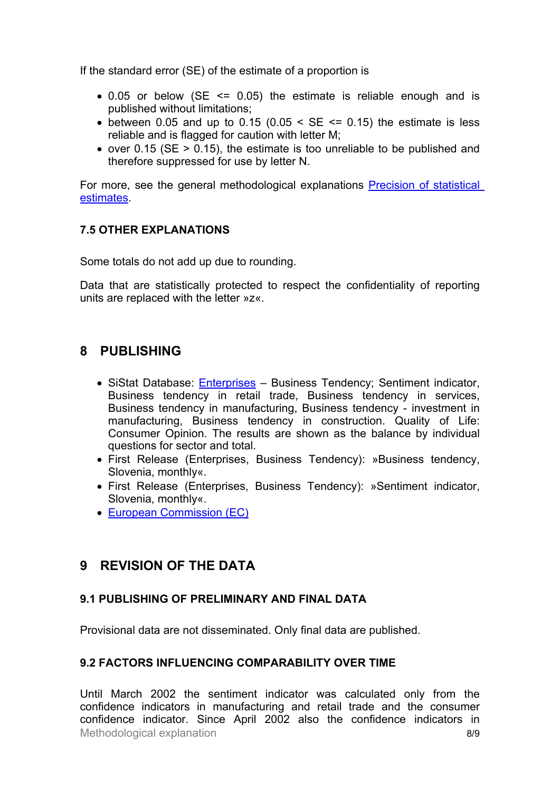<span id="page-7-0"></span>If the standard error (SE) of the estimate of <sup>a</sup> proportion is

- 0.05 or below (SE <= 0.05) the estimate is reliable enough and is published without limitations;
- between 0.05 and up to 0.15 (0.05  $\leq$  SE  $\leq$  0.15) the estimate is less reliable and is flagged for caution with letter M;
- over 0.15 (SE <sup>&</sup>gt; 0.15), the estimate is too unreliable to be published and therefore suppressed for use by letter N.

For more, see the general methodological explanations **Precision of [statistical](https://www.stat.si/statweb/File/DocSysFile/8885/PrecisionOfStatisticalEstimatesMEgeneral.pdf)** [estimates](https://www.stat.si/statweb/File/DocSysFile/8885/PrecisionOfStatisticalEstimatesMEgeneral.pdf).

#### **7.5 OTHER EXPLANATIONS**

Some totals do not add up due to rounding.

Data that are statistically protected to respect the confidentiality of reporting units are replaced with the letter »z«.

## **8 PUBLISHING**

- SiStat Database: *[Enterprises](https://pxweb.stat.si/SiStat/en/Podrocja/Index/97/podjetja)* Business Tendency; Sentiment indicator, Business tendency in retail trade, Business tendency in services, Business tendency in manufacturing, Business tendency - investment in manufacturing, Business tendency in construction. Quality of Life: Consumer Opinion. The results are shown as the balance by individual questions for sector and total.
- First Release (Enterprises, Business Tendency): »Business tendency, Slovenia, monthly«.
- First Release (Enterprises, Business Tendency): »Sentiment indicator, Slovenia, monthly«.
- European [Commission](https://ec.europa.eu/info/business-economy-euro/indicators-statistics/economic-databases/business-and-consumer-surveys_en) (EC)

# **9 REVISION OF THE DATA**

#### **9.1 PUBLISHING OF PRELIMINARY AND FINAL DATA**

Provisional data are not disseminated. Only final data are published.

#### **9.2 FACTORS INFLUENCING COMPARABILITY OVER TIME**

Methodological explanation 8/9 Until March 2002 the sentiment indicator was calculated only from the confidence indicators in manufacturing and retail trade and the consumer confidence indicator. Since April 2002 also the confidence indicators in